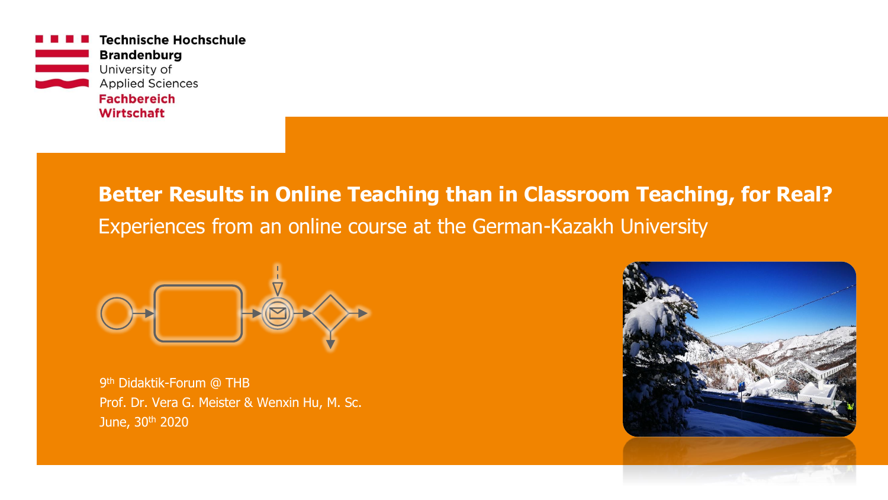

## **Better Results in Online Teaching than in Classroom Teaching, for Real?**  Experiences from an online course at the German-Kazakh University



9<sup>th</sup> Didaktik-Forum @ THB Prof. Dr. Vera G. Meister & Wenxin Hu, M. Sc. June, 30<sup>th</sup> 2020

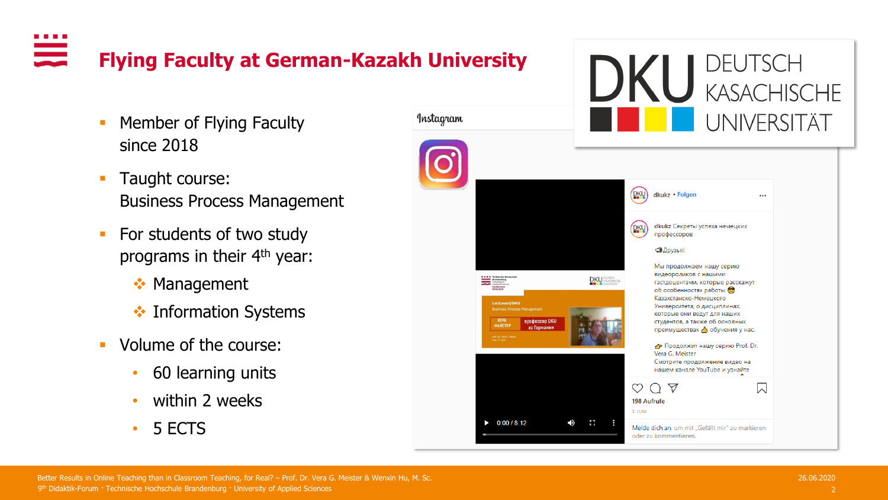$\frac{1}{\sqrt{2}}$ **Flying Faculty at German-Kazakh University**

- **Member of Flying Faculty** since 2018
- **Taught course:** Business Process Management
- **•** For students of two study programs in their 4<sup>th</sup> year:
	- ❖ Management
	- **❖ Information Systems**
- Volume of the course:
	- 60 learning units
	- within 2 weeks
	- 5 ECTS

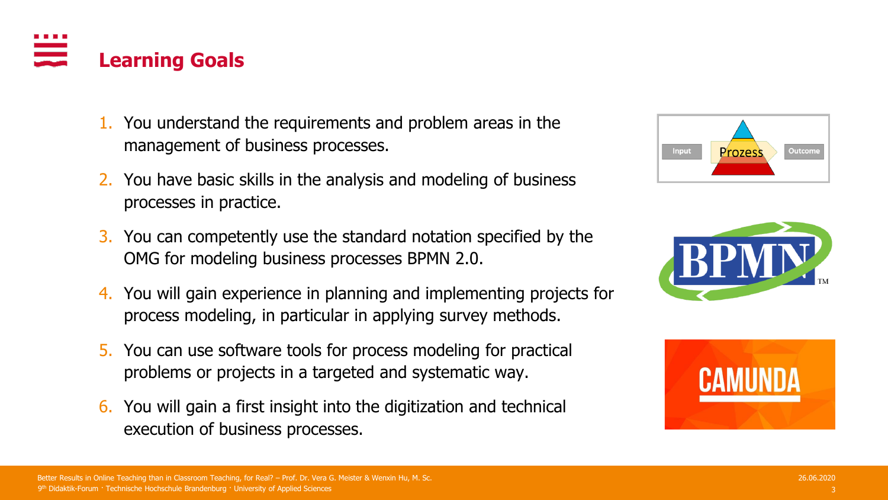

6. You will gain a first insight into the digitization and technical execution of business processes.







# **Learning Goals**

3. You can competently use the standard notation specified by the OMG for modeling business processes BPMN 2.0.

management of business processes.

processes in practice.

1. You understand the requirements and problem areas in the

2. You have basic skills in the analysis and modeling of business

4. You will gain experience in planning and implementing projects for process modeling, in particular in applying survey methods.

9th Didaktik-Forum · Technische Hochschule Brandenburg · University of Applied Sciences and the context of the context of the context of the context of the context of the context of the context of Applied Sciences and the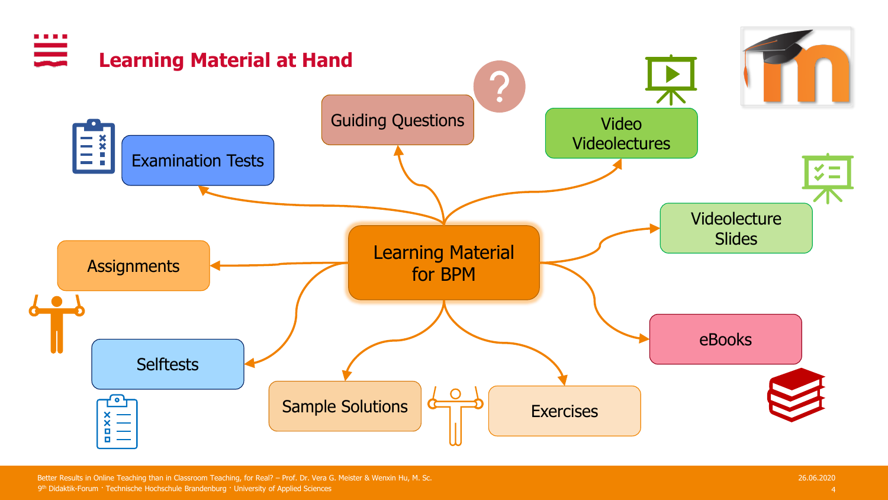

9 4 th Didaktik-Forum · Technische Hochschule Brandenburg · University of Applied Sciences Better Results in Online Teaching than in Classroom Teaching, for Real? – Prof. Dr. Vera G. Meister & Wenxin Hu, M. Sc. 26.06.2020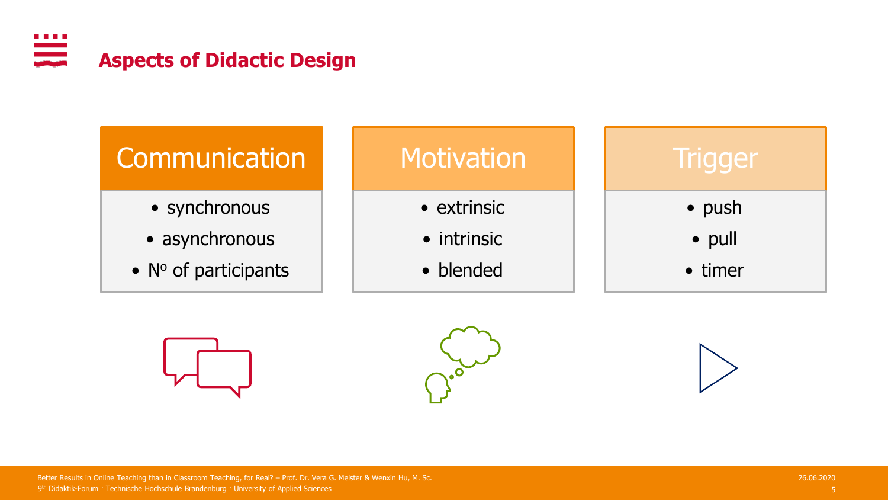







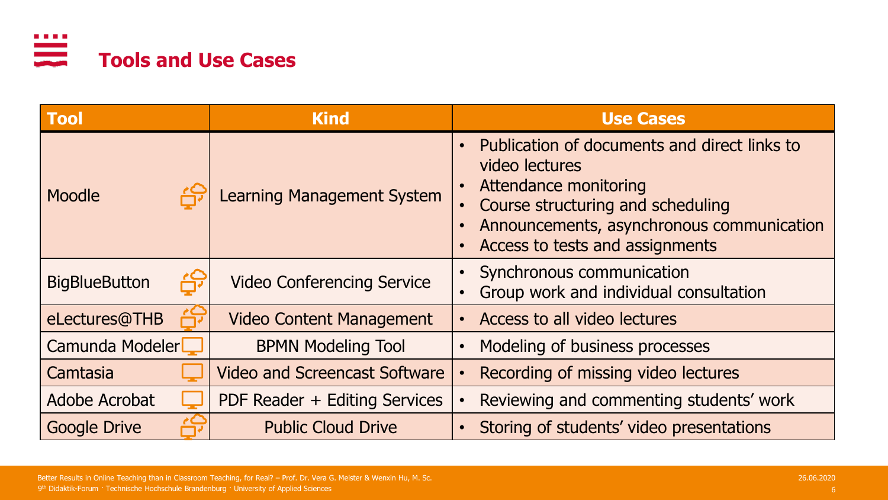

| <b>Tool</b>          | <b>Kind</b>                          | <b>Use Cases</b>                                                                                                                                                                                                    |  |  |
|----------------------|--------------------------------------|---------------------------------------------------------------------------------------------------------------------------------------------------------------------------------------------------------------------|--|--|
| Moodle               | Learning Management System           | Publication of documents and direct links to<br>video lectures<br><b>Attendance monitoring</b><br>Course structuring and scheduling<br>Announcements, asynchronous communication<br>Access to tests and assignments |  |  |
| <b>BigBlueButton</b> | <b>Video Conferencing Service</b>    | Synchronous communication<br>Group work and individual consultation                                                                                                                                                 |  |  |
| eLectures@THB        | <b>Video Content Management</b>      | Access to all video lectures                                                                                                                                                                                        |  |  |
| Camunda Modeler      | <b>BPMN Modeling Tool</b>            | Modeling of business processes                                                                                                                                                                                      |  |  |
| Camtasia             | <b>Video and Screencast Software</b> | Recording of missing video lectures                                                                                                                                                                                 |  |  |
| Adobe Acrobat        | PDF Reader + Editing Services        | Reviewing and commenting students' work                                                                                                                                                                             |  |  |
| <b>Google Drive</b>  | <b>Public Cloud Drive</b>            | Storing of students' video presentations                                                                                                                                                                            |  |  |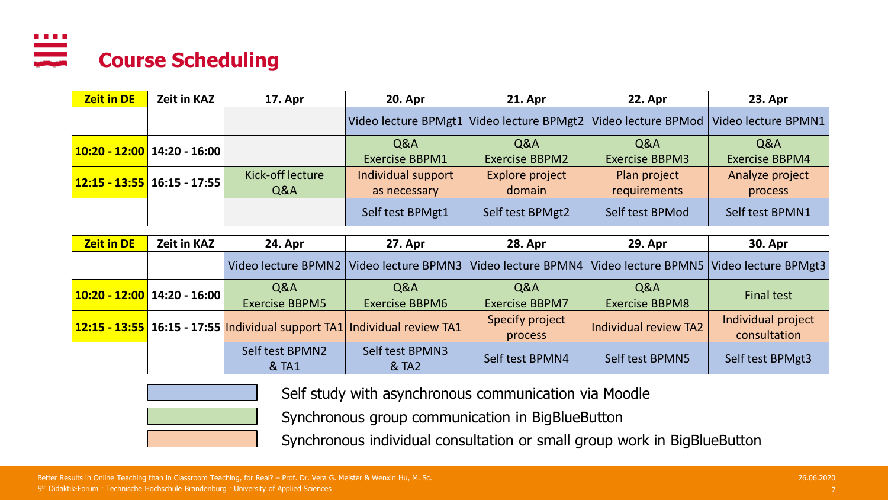#### . . . . <u>en e</u> **Course Scheduling**

| <b>Zeit in DE</b> | Zeit in KAZ                          | <b>17. Apr</b>          | <b>20. Apr</b>                          | <b>21. Apr</b>                                                                    | <b>22. Apr</b>                          | 23. Apr                                 |
|-------------------|--------------------------------------|-------------------------|-----------------------------------------|-----------------------------------------------------------------------------------|-----------------------------------------|-----------------------------------------|
|                   |                                      |                         |                                         | Video lecture BPMgt1 Video lecture BPMgt2 Video lecture BPMod Video lecture BPMN1 |                                         |                                         |
|                   | 10:20 - 12:00   14:20 - 16:00        |                         | <b>Q&amp;A</b><br><b>Exercise BBPM1</b> | <b>Q&amp;A</b><br><b>Exercise BBPM2</b>                                           | <b>Q&amp;A</b><br><b>Exercise BBPM3</b> | <b>Q&amp;A</b><br><b>Exercise BBPM4</b> |
|                   | <b>12:15 - 13:55 16:15 - 17:55  </b> | Kick-off lecture<br>Q&A | Individual support<br>as necessary      | Explore project<br>domain                                                         | Plan project<br>requirements            | Analyze project<br>process              |
|                   |                                      |                         | Self test BPMgt1                        | Self test BPMgt2                                                                  | Self test BPMod                         | Self test BPMN1                         |

| <b>Zeit in DE</b>                     | Zeit in KAZ | <b>24. Apr</b>                                                             | 27. Apr                                 | <b>28. Apr</b>               | <b>29. Apr</b>               | <b>30. Apr</b>                                                   |
|---------------------------------------|-------------|----------------------------------------------------------------------------|-----------------------------------------|------------------------------|------------------------------|------------------------------------------------------------------|
|                                       |             |                                                                            | Video lecture BPMN2 Video lecture BPMN3 |                              |                              | Video lecture BPMN4   Video lecture BPMN5   Video lecture BPMgt3 |
| $\vert$ 10:20 - 12:00   14:20 - 16:00 |             | Q&A<br><b>Exercise BBPM5</b>                                               | Q&A<br><b>Exercise BBPM6</b>            | Q&A<br><b>Exercise BBPM7</b> | Q&A<br><b>Exercise BBPM8</b> | <b>Final test</b>                                                |
|                                       |             | $12:15 - 13:55$ 16:15 - 17:55 Individual support TA1 Individual review TA1 |                                         | Specify project<br>process   | Individual review TA2        | Individual project<br>consultation                               |
|                                       |             | Self test BPMN2<br>& TA1                                                   | Self test BPMN3<br>& TA2                | Self test BPMN4              | Self test BPMN5              | Self test BPMgt3                                                 |



Self study with asynchronous communication via Moodle

Synchronous group communication in BigBlueButton

Synchronous individual consultation or small group work in BigBlueButton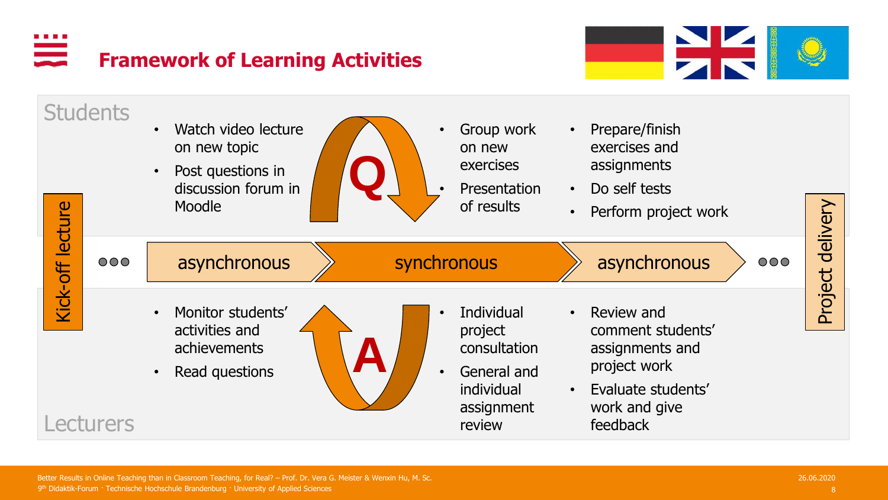### $\overline{\phantom{a}}$ **Framework of Learning Activities**



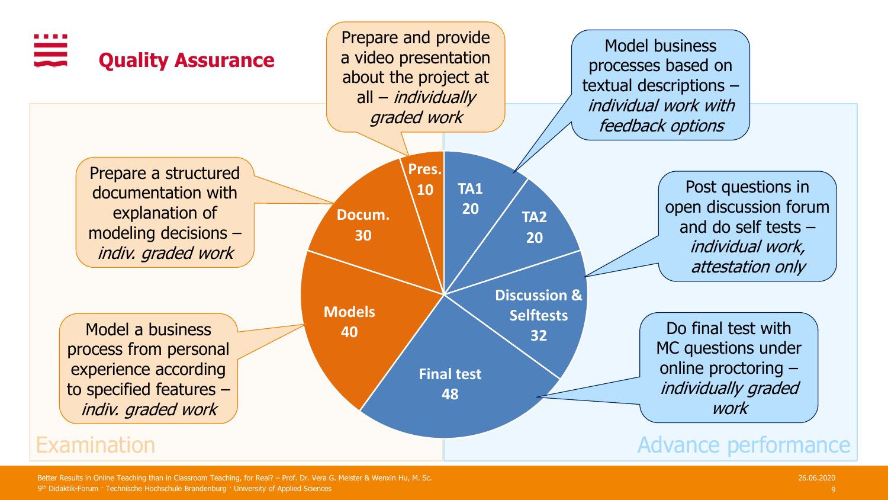

9 9 th Didaktik-Forum · Technische Hochschule Brandenburg · University of Applied Sciences Better Results in Online Teaching than in Classroom Teaching, for Real? – Prof. Dr. Vera G. Meister & Wenxin Hu, M. Sc. 26.06.2020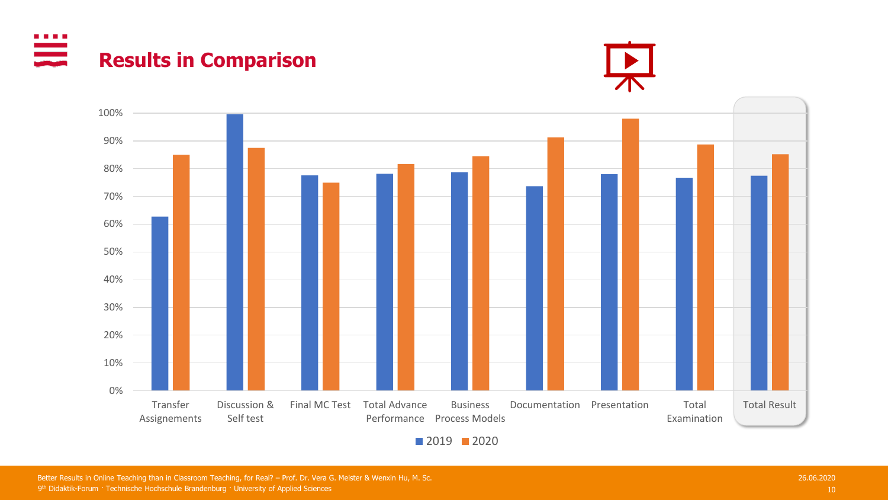₩ **Results in Comparison**





9<sup>th</sup> Didaktik-Forum · Technische Hochschule Brandenburg · University of Applied Sciences **10 the Control of Applied Sciences** and the Control of Applied Sciences and the Control of Applied Sciences and the Control of Appl Better Results in Online Teaching than in Classroom Teaching, for Real? – Prof. Dr. Vera G. Meister & Wenxin Hu, M. Sc. 26.06.2020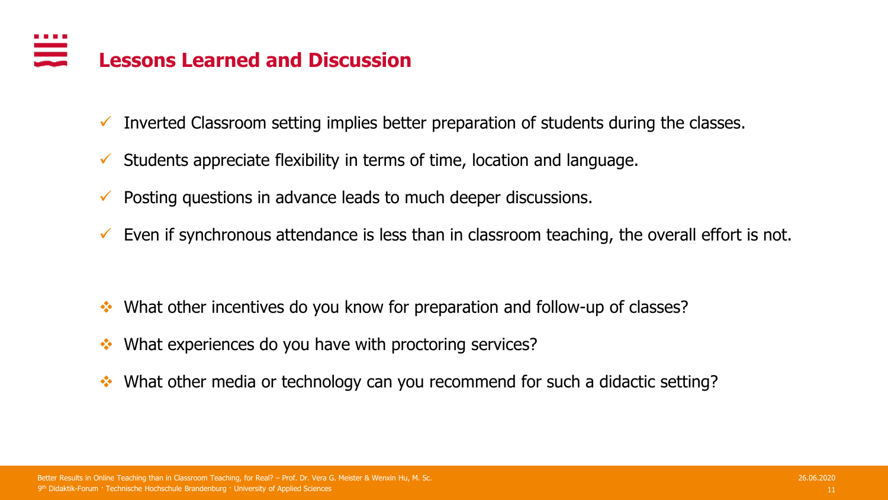#### **Lessons Learned and Discussion**

- $\checkmark$  Inverted Classroom setting implies better preparation of students during the classes.
- $\checkmark$  Students appreciate flexibility in terms of time, location and language.
- $\checkmark$  Posting questions in advance leads to much deeper discussions.
- $\checkmark$  Even if synchronous attendance is less than in classroom teaching, the overall effort is not.

- ❖ What other incentives do you know for preparation and follow-up of classes?
- ❖ What experiences do you have with proctoring services?
- ❖ What other media or technology can you recommend for such a didactic setting?